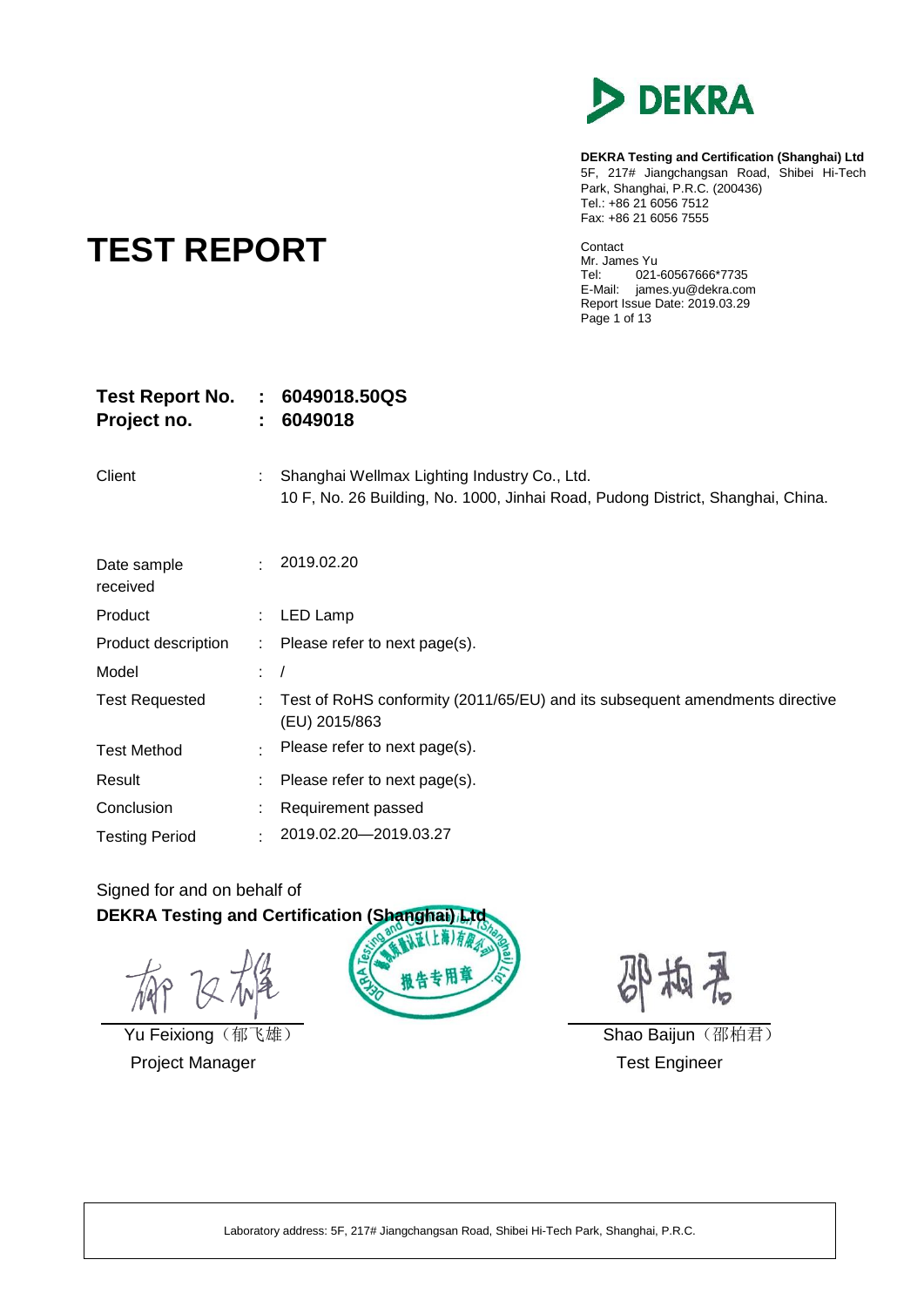

**DEKRA Testing and Certification (Shanghai) Ltd** 5F, 217# Jiangchangsan Road, Shibei Hi-Tech Park, Shanghai, P.R.C. (200436) Tel.: +86 21 6056 7512 Fax: +86 21 6056 7555

# **TEST REPORT**

Contact Mr. James Yu<br>Tel: 021 021-60567666\*7735 E-Mail: james.yu@dekra.com Report Issue Date: 2019.03.29 Page 1 of 13

| <b>Test Report No.</b><br>Project no. | $\mathbb{Z}^n$ . | 6049018.50QS<br>6049018                                                                                                         |
|---------------------------------------|------------------|---------------------------------------------------------------------------------------------------------------------------------|
| Client                                |                  | Shanghai Wellmax Lighting Industry Co., Ltd.<br>10 F, No. 26 Building, No. 1000, Jinhai Road, Pudong District, Shanghai, China. |
| Date sample<br>received               | $\bullet$        | 2019.02.20                                                                                                                      |
| Product                               | t.               | LED Lamp                                                                                                                        |
| Product description                   | t.               | Please refer to next page(s).                                                                                                   |
| Model                                 | t.               |                                                                                                                                 |
| <b>Test Requested</b>                 | ÷.               | Test of RoHS conformity (2011/65/EU) and its subsequent amendments directive<br>(EU) 2015/863                                   |
| <b>Test Method</b>                    | $\epsilon$       | Please refer to next page(s).                                                                                                   |
| Result                                |                  | Please refer to next page(s).                                                                                                   |
| Conclusion                            |                  | Requirement passed                                                                                                              |
| <b>Testing Period</b>                 |                  | 2019.02.20-2019.03.27                                                                                                           |

### Signed for and on behalf of **DEKRA Testing and Certification (Shanghai) Ltd**

Project Manager **Test Engineer** Test Engineer



梅若

Yu Feixiong(郁飞雄) Shao Baijun(邵柏君)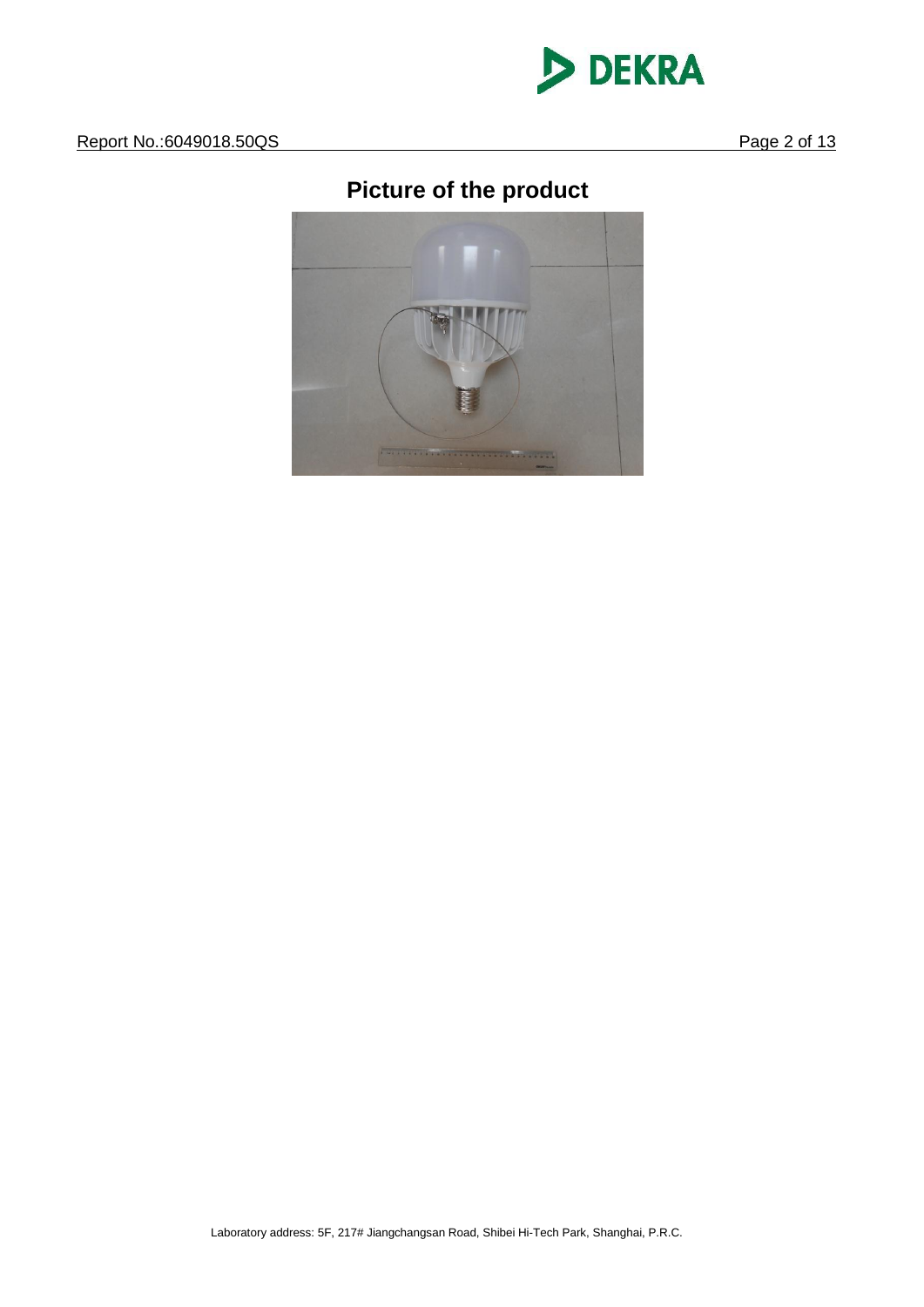

## **Picture of the product**

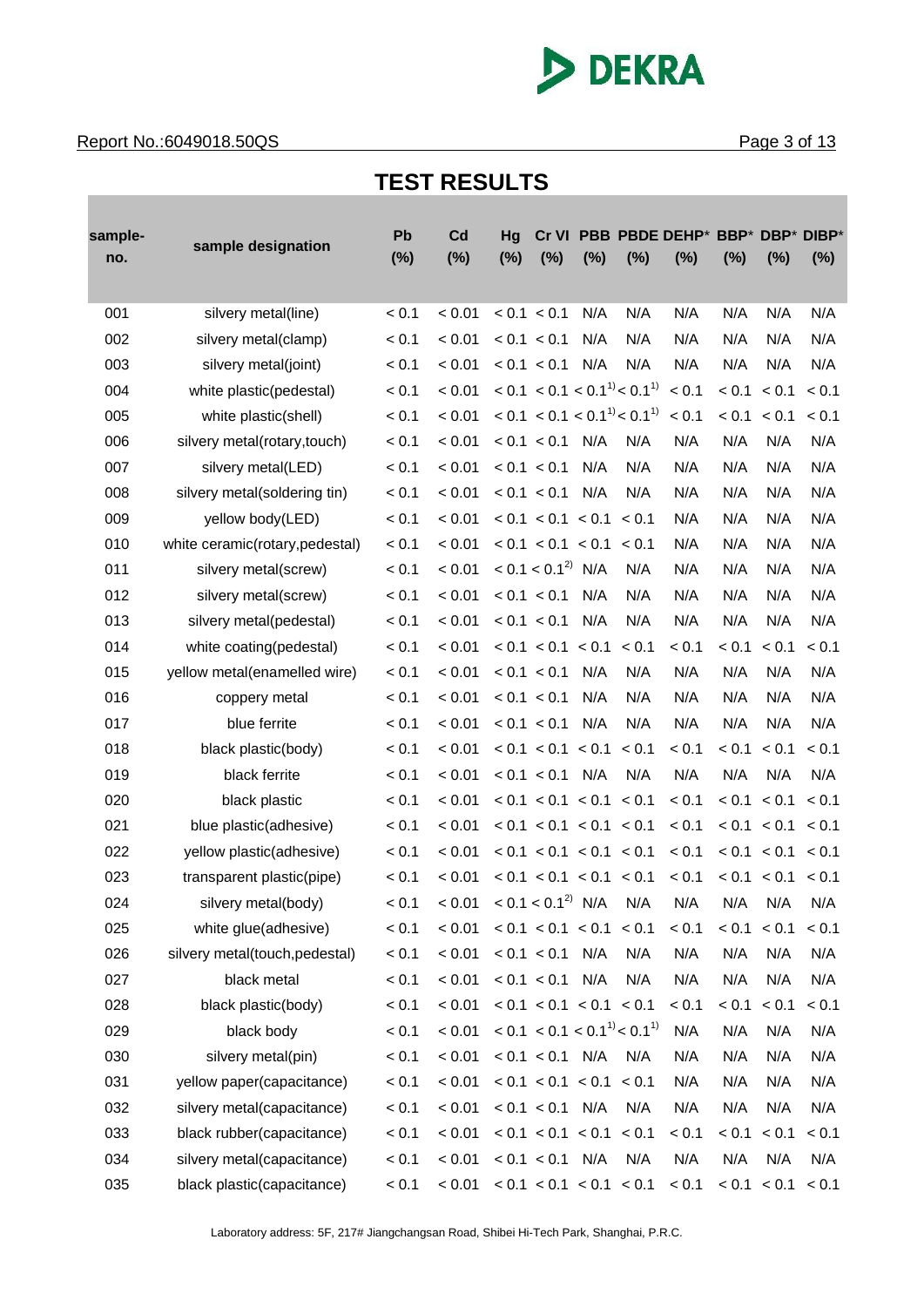

#### **Report No.:6049018.50QS** Page 3 of 13

## **TEST RESULTS**

| sample- | sample designation             | Pb<br>(%) | Cd<br>(%) | Hg<br>$(\%)$ | Cr VI<br>(%)             | $(\%)$ | (%)                                 | PBB PBDE DEHP*<br>$(\%)$ | BBP*<br>(%) | (%)               | DBP* DIBP* |
|---------|--------------------------------|-----------|-----------|--------------|--------------------------|--------|-------------------------------------|--------------------------|-------------|-------------------|------------|
| no.     |                                |           |           |              |                          |        |                                     |                          |             |                   | $(\%)$     |
| 001     | silvery metal(line)            | < 0.1     | < 0.01    |              | < 0.1 < 0.1              | N/A    | N/A                                 | N/A                      | N/A         | N/A               | N/A        |
| 002     | silvery metal(clamp)           | < 0.1     | < 0.01    |              | < 0.1 < 0.1              | N/A    | N/A                                 | N/A                      | N/A         | N/A               | N/A        |
| 003     | silvery metal(joint)           | < 0.1     | < 0.01    |              | < 0.1 < 0.1              | N/A    | N/A                                 | N/A                      | N/A         | N/A               | N/A        |
| 004     | white plastic(pedestal)        | < 0.1     | < 0.01    |              |                          |        | $< 0.1 < 0.1 < 0.1^{11} < 0.1^{11}$ | < 0.1                    | < 0.1       | < 0.1             | < 0.1      |
| 005     | white plastic(shell)           | < 0.1     | < 0.01    |              |                          |        | $< 0.1 < 0.1 < 0.1^{11} < 0.1^{11}$ | < 0.1                    | < 0.1       | < 0.1             | < 0.1      |
| 006     | silvery metal(rotary, touch)   | < 0.1     | < 0.01    |              | < 0.1 < 0.1              | N/A    | N/A                                 | N/A                      | N/A         | N/A               | N/A        |
| 007     | silvery metal(LED)             | < 0.1     | < 0.01    |              | < 0.1 < 0.1              | N/A    | N/A                                 | N/A                      | N/A         | N/A               | N/A        |
| 008     | silvery metal(soldering tin)   | < 0.1     | < 0.01    |              | < 0.1 < 0.1              | N/A    | N/A                                 | N/A                      | N/A         | N/A               | N/A        |
| 009     | yellow body(LED)               | < 0.1     | < 0.01    |              | < 0.1 < 0.1 < 0.1        |        | < 0.1                               | N/A                      | N/A         | N/A               | N/A        |
| 010     | white ceramic(rotary,pedestal) | < 0.1     | < 0.01    |              | < 0.1 < 0.1 < 0.1 < 0.1  |        |                                     | N/A                      | N/A         | N/A               | N/A        |
| 011     | silvery metal(screw)           | < 0.1     | < 0.01    |              | < 0.1 < 0.1 <sup>2</sup> | N/A    | N/A                                 | N/A                      | N/A         | N/A               | N/A        |
| 012     | silvery metal(screw)           | < 0.1     | < 0.01    |              | < 0.1 < 0.1              | N/A    | N/A                                 | N/A                      | N/A         | N/A               | N/A        |
| 013     | silvery metal(pedestal)        | < 0.1     | < 0.01    |              | < 0.1 < 0.1              | N/A    | N/A                                 | N/A                      | N/A         | N/A               | N/A        |
| 014     | white coating(pedestal)        | < 0.1     | < 0.01    |              | < 0.1 < 0.1              | < 0.1  | < 0.1                               | < 0.1                    | < 0.1       | < 0.1             | < 0.1      |
| 015     | yellow metal(enamelled wire)   | < 0.1     | < 0.01    |              | < 0.1 < 0.1              | N/A    | N/A                                 | N/A                      | N/A         | N/A               | N/A        |
| 016     | coppery metal                  | < 0.1     | < 0.01    |              | < 0.1 < 0.1              | N/A    | N/A                                 | N/A                      | N/A         | N/A               | N/A        |
| 017     | blue ferrite                   | < 0.1     | < 0.01    |              | < 0.1 < 0.1              | N/A    | N/A                                 | N/A                      | N/A         | N/A               | N/A        |
| 018     | black plastic(body)            | < 0.1     | < 0.01    |              | < 0.1 < 0.1 < 0.1        |        | < 0.1                               | < 0.1                    | < 0.1       | < 0.1             | < 0.1      |
| 019     | black ferrite                  | < 0.1     | < 0.01    |              | < 0.1 < 0.1              | N/A    | N/A                                 | N/A                      | N/A         | N/A               | N/A        |
| 020     | black plastic                  | < 0.1     | < 0.01    |              | < 0.1 < 0.1 < 0.1 < 0.1  |        |                                     | < 0.1                    | < 0.1       | < 0.1             | < 0.1      |
| 021     | blue plastic(adhesive)         | < 0.1     | < 0.01    |              | < 0.1 < 0.1 < 0.1 < 0.1  |        |                                     | < 0.1                    | < 0.1       | < 0.1             | < 0.1      |
| 022     | yellow plastic(adhesive)       | < 0.1     | < 0.01    |              | < 0.1 < 0.1 < 0.1 < 0.1  |        |                                     | < 0.1                    |             | < 0.1 < 0.1 < 0.1 |            |
| 023     | transparent plastic(pipe)      | < 0.1     | < 0.01    |              | < 0.1 < 0.1 < 0.1 < 0.1  |        |                                     | < 0.1                    | < 0.1       | < 0.1             | < 0.1      |
| 024     | silvery metal(body)            | < 0.1     | < 0.01    |              | $< 0.1 < 0.12$ N/A       |        | N/A                                 | N/A                      | N/A         | N/A               | N/A        |
| 025     | white glue(adhesive)           | < 0.1     | < 0.01    |              | < 0.1 < 0.1 < 0.1 < 0.1  |        |                                     | < 0.1                    |             | < 0.1 < 0.1       | < 0.1      |
| 026     | silvery metal(touch,pedestal)  | < 0.1     | < 0.01    |              | < 0.1 < 0.1              | N/A    | N/A                                 | N/A                      | N/A         | N/A               | N/A        |
| 027     | black metal                    | < 0.1     | < 0.01    |              | < 0.1 < 0.1              | N/A    | N/A                                 | N/A                      | N/A         | N/A               | N/A        |
| 028     | black plastic(body)            | < 0.1     | < 0.01    |              | < 0.1 < 0.1 < 0.1 < 0.1  |        |                                     | < 0.1                    | < 0.1       | < 0.1             | < 0.1      |
| 029     | black body                     | < 0.1     | < 0.01    |              |                          |        | $< 0.1 < 0.1 < 0.1^{11} < 0.1^{11}$ | N/A                      | N/A         | N/A               | N/A        |
| 030     | silvery metal(pin)             | < 0.1     | < 0.01    |              | $< 0.1 < 0.1$ N/A        |        | N/A                                 | N/A                      | N/A         | N/A               | N/A        |
| 031     | yellow paper(capacitance)      | < 0.1     | < 0.01    |              | < 0.1 < 0.1 < 0.1 < 0.1  |        |                                     | N/A                      | N/A         | N/A               | N/A        |
| 032     | silvery metal(capacitance)     | < 0.1     | < 0.01    |              | $< 0.1 < 0.1$ N/A        |        | N/A                                 | N/A                      | N/A         | N/A               | N/A        |
| 033     | black rubber(capacitance)      | < 0.1     | < 0.01    |              | < 0.1 < 0.1 < 0.1 < 0.1  |        |                                     | < 0.1                    | < 0.1       | < 0.1             | < 0.1      |
| 034     | silvery metal(capacitance)     | < 0.1     | < 0.01    |              | $< 0.1 < 0.1$ N/A        |        | N/A                                 | N/A                      | N/A         | N/A               | N/A        |
| 035     | black plastic(capacitance)     | < 0.1     | < 0.01    |              | < 0.1 < 0.1 < 0.1 < 0.1  |        |                                     | < 0.1                    | < 0.1       | < 0.1             | < 0.1      |

Laboratory address: 5F, 217# Jiangchangsan Road, Shibei Hi-Tech Park, Shanghai, P.R.C.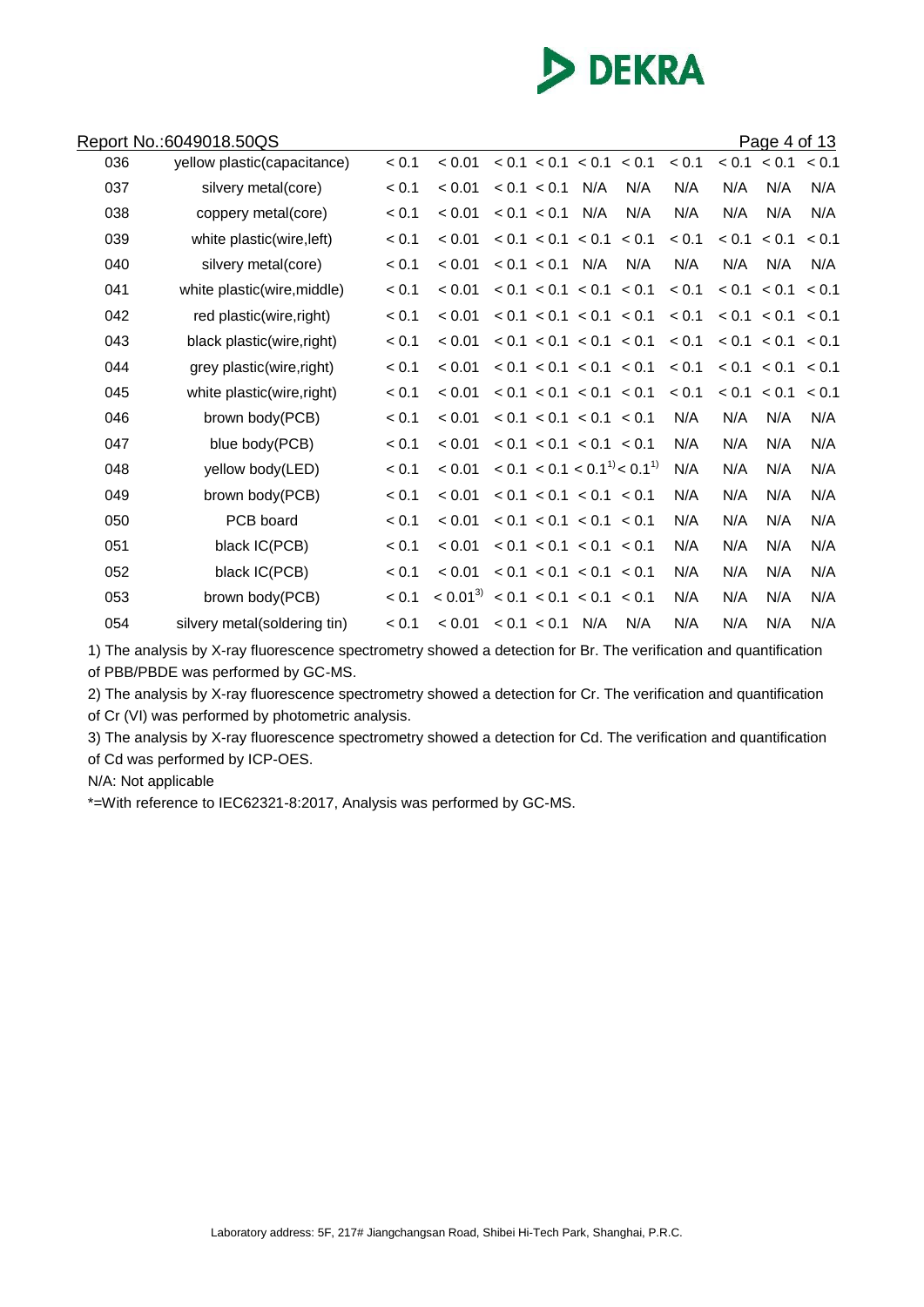

|     | Report No.:6049018.50QS      |       |              |             |                         |                                     |       |       | <u>Page 4 of 13</u> |       |
|-----|------------------------------|-------|--------------|-------------|-------------------------|-------------------------------------|-------|-------|---------------------|-------|
| 036 | yellow plastic(capacitance)  | < 0.1 | < 0.01       |             | < 0.1 < 0.1 < 0.1 < 0.1 |                                     | < 0.1 | < 0.1 | < 0.1               | < 0.1 |
| 037 | silvery metal(core)          | < 0.1 | < 0.01       | < 0.1 < 0.1 | N/A                     | N/A                                 | N/A   | N/A   | N/A                 | N/A   |
| 038 | coppery metal(core)          | < 0.1 | < 0.01       | < 0.1 < 0.1 | N/A                     | N/A                                 | N/A   | N/A   | N/A                 | N/A   |
| 039 | white plastic(wire, left)    | < 0.1 | < 0.01       |             | < 0.1 < 0.1 < 0.1       | < 0.1                               | < 0.1 | < 0.1 | < 0.1               | < 0.1 |
| 040 | silvery metal(core)          | < 0.1 | < 0.01       | < 0.1 < 0.1 | N/A                     | N/A                                 | N/A   | N/A   | N/A                 | N/A   |
| 041 | white plastic(wire, middle)  | < 0.1 | < 0.01       |             | < 0.1 < 0.1 < 0.1 < 0.1 |                                     | < 0.1 | < 0.1 | < 0.1               | < 0.1 |
| 042 | red plastic(wire, right)     | < 0.1 | < 0.01       |             | < 0.1 < 0.1 < 0.1 < 0.1 |                                     | < 0.1 |       | < 0.1 < 0.1 < 0.1   |       |
| 043 | black plastic(wire, right)   | < 0.1 | < 0.01       |             | < 0.1 < 0.1 < 0.1 < 0.1 |                                     | < 0.1 |       | < 0.1 < 0.1         | < 0.1 |
| 044 | grey plastic(wire, right)    | < 0.1 | < 0.01       |             | < 0.1 < 0.1 < 0.1 < 0.1 |                                     | < 0.1 |       | < 0.1 < 0.1         | < 0.1 |
| 045 | white plastic(wire, right)   | < 0.1 | < 0.01       |             | < 0.1 < 0.1 < 0.1 < 0.1 |                                     | < 0.1 | < 0.1 | < 0.1               | < 0.1 |
| 046 | brown body(PCB)              | < 0.1 | < 0.01       |             | < 0.1 < 0.1 < 0.1 < 0.1 |                                     | N/A   | N/A   | N/A                 | N/A   |
| 047 | blue body(PCB)               | < 0.1 | < 0.01       |             | < 0.1 < 0.1 < 0.1 < 0.1 |                                     | N/A   | N/A   | N/A                 | N/A   |
| 048 | yellow body(LED)             | < 0.1 | < 0.01       |             |                         | $< 0.1 < 0.1 < 0.1^{11} < 0.1^{11}$ | N/A   | N/A   | N/A                 | N/A   |
| 049 | brown body(PCB)              | < 0.1 | < 0.01       |             | < 0.1 < 0.1 < 0.1 < 0.1 |                                     | N/A   | N/A   | N/A                 | N/A   |
| 050 | PCB board                    | < 0.1 | < 0.01       |             | < 0.1 < 0.1 < 0.1 < 0.1 |                                     | N/A   | N/A   | N/A                 | N/A   |
| 051 | black IC(PCB)                | < 0.1 | < 0.01       |             | < 0.1 < 0.1 < 0.1 < 0.1 |                                     | N/A   | N/A   | N/A                 | N/A   |
| 052 | black IC(PCB)                | < 0.1 | < 0.01       |             | < 0.1 < 0.1 < 0.1 < 0.1 |                                     | N/A   | N/A   | N/A                 | N/A   |
| 053 | brown body(PCB)              | < 0.1 | $< 0.01^{3}$ |             | < 0.1 < 0.1 < 0.1 < 0.1 |                                     | N/A   | N/A   | N/A                 | N/A   |
| 054 | silvery metal(soldering tin) | < 0.1 | < 0.01       | < 0.1 < 0.1 | N/A                     | N/A                                 | N/A   | N/A   | N/A                 | N/A   |

1) The analysis by X-ray fluorescence spectrometry showed a detection for Br. The verification and quantification of PBB/PBDE was performed by GC-MS.

2) The analysis by X-ray fluorescence spectrometry showed a detection for Cr. The verification and quantification of Cr (VI) was performed by photometric analysis.

3) The analysis by X-ray fluorescence spectrometry showed a detection for Cd. The verification and quantification of Cd was performed by ICP-OES.

N/A: Not applicable

\*=With reference to IEC62321-8:2017, Analysis was performed by GC-MS.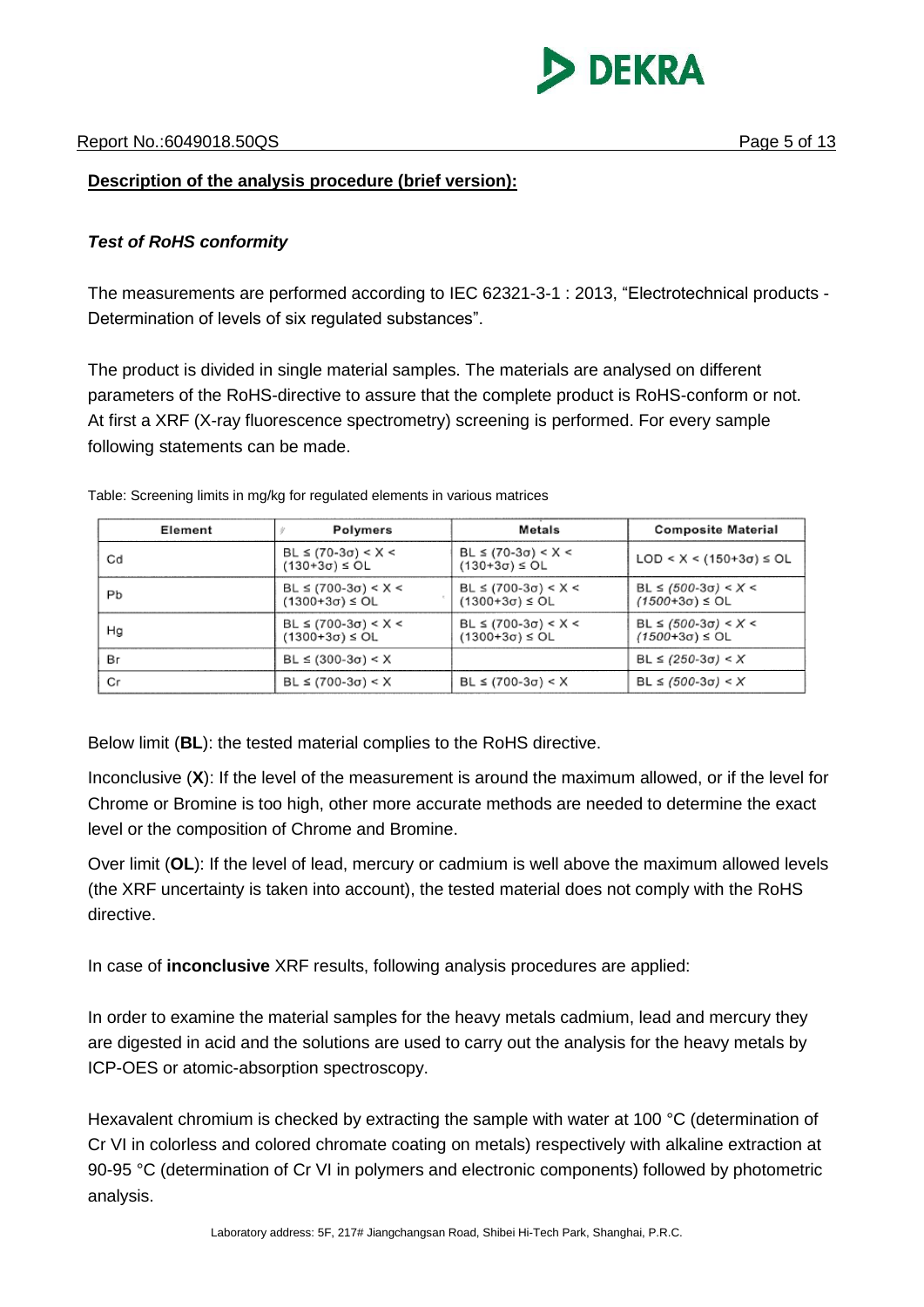

#### **Description of the analysis procedure (brief version):**

### *Test of RoHS conformity*

The measurements are performed according to IEC 62321-3-1 : 2013, "Electrotechnical products - Determination of levels of six regulated substances".

The product is divided in single material samples. The materials are analysed on different parameters of the RoHS-directive to assure that the complete product is RoHS-conform or not. At first a XRF (X-ray fluorescence spectrometry) screening is performed. For every sample following statements can be made.

| Element | Polymers                                         | Metals                                             | <b>Composite Material</b>                        |
|---------|--------------------------------------------------|----------------------------------------------------|--------------------------------------------------|
| Cd      | BL ≤ (70-3σ) < X <<br>$(130+3\sigma) \leq O L$   | $BL ≤ (70-3σ) < X <$<br>$(130+3\sigma) \leq O L$   | $LOD < X < (150+3\sigma) \leq OL$                |
| Pb      | BL ≤ (700-3σ) < X <<br>$(1300+3σ) ≤ OL$          | $BL ≤ (700-3σ) < X <$<br>$(1300+3\sigma) \leq O L$ | BL ≤ (500-3σ) < X <<br>$(1500+3\sigma) \leq O L$ |
| Ha      | BL ≤ (700-3σ) < X <<br>$(1300+3\sigma) \leq O L$ | $BL ≤ (700-3σ) < X <$<br>$(1300+3\sigma) \leq O L$ | BL ≤ (500-3σ) < X <<br>$(1500+3\sigma) \leq O L$ |
| Вr      | $BL \le (300-3\sigma) < X$                       |                                                    | $BL ≤ (250-3σ) < X$                              |
| Сr      | BL $\leq$ (700-3 $\sigma$ ) < X                  | $BL ≤ (700-3σ) < X$                                | BL ≤ (500-3σ) < X                                |

Table: Screening limits in mg/kg for regulated elements in various matrices

Below limit (**BL**): the tested material complies to the RoHS directive.

Inconclusive (**X**): If the level of the measurement is around the maximum allowed, or if the level for Chrome or Bromine is too high, other more accurate methods are needed to determine the exact level or the composition of Chrome and Bromine.

Over limit (**OL**): If the level of lead, mercury or cadmium is well above the maximum allowed levels (the XRF uncertainty is taken into account), the tested material does not comply with the RoHS directive.

In case of **inconclusive** XRF results, following analysis procedures are applied:

In order to examine the material samples for the heavy metals cadmium, lead and mercury they are digested in acid and the solutions are used to carry out the analysis for the heavy metals by ICP-OES or atomic-absorption spectroscopy.

Hexavalent chromium is checked by extracting the sample with water at 100 °C (determination of Cr VI in colorless and colored chromate coating on metals) respectively with alkaline extraction at 90-95 °C (determination of Cr VI in polymers and electronic components) followed by photometric analysis.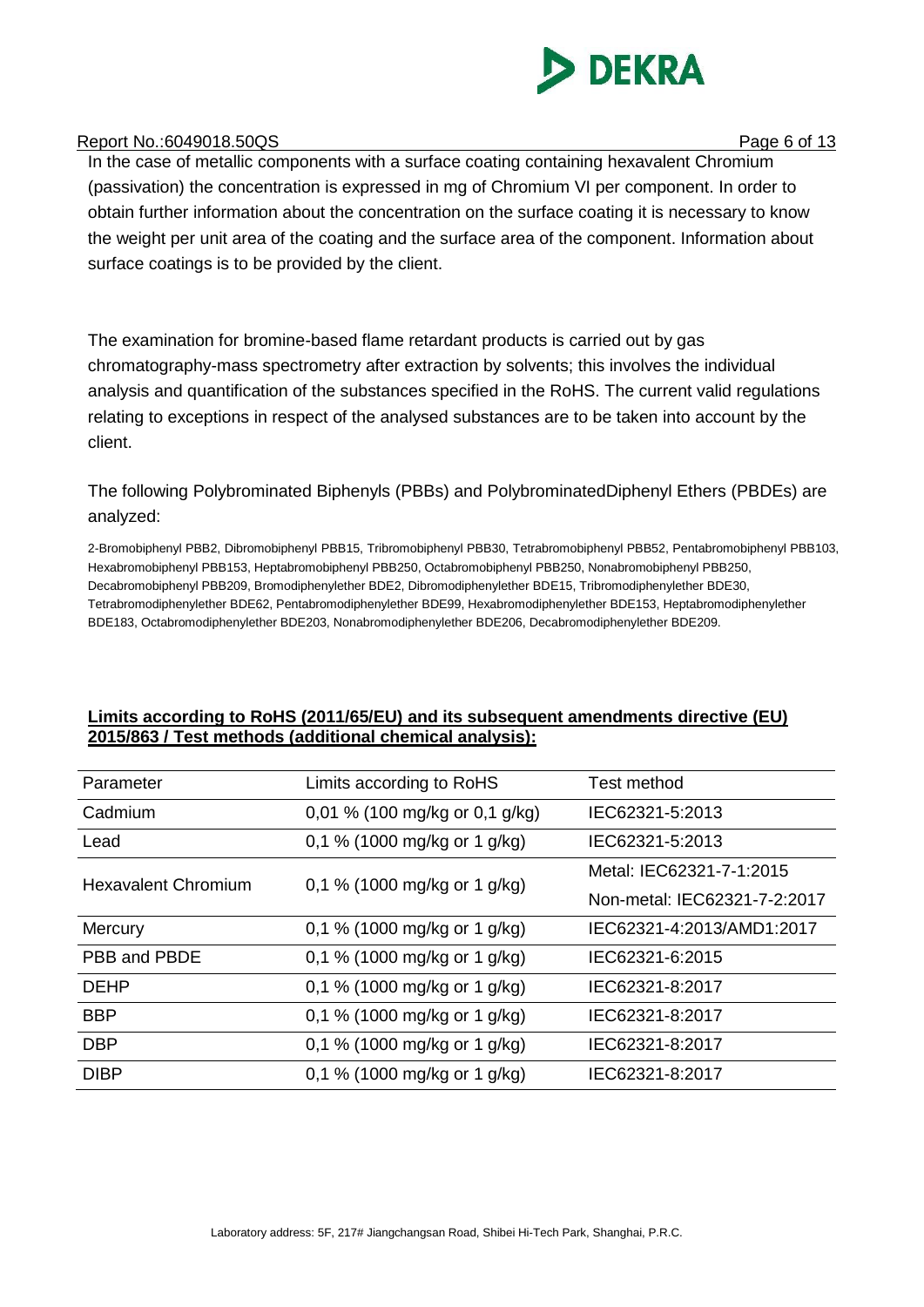

#### Report No.:6049018.50QS Page 6 of 13

In the case of metallic components with a surface coating containing hexavalent Chromium (passivation) the concentration is expressed in mg of Chromium VI per component. In order to obtain further information about the concentration on the surface coating it is necessary to know the weight per unit area of the coating and the surface area of the component. Information about surface coatings is to be provided by the client.

The examination for bromine-based flame retardant products is carried out by gas chromatography-mass spectrometry after extraction by solvents; this involves the individual analysis and quantification of the substances specified in the RoHS. The current valid regulations relating to exceptions in respect of the analysed substances are to be taken into account by the client.

The following Polybrominated Biphenyls (PBBs) and PolybrominatedDiphenyl Ethers (PBDEs) are analyzed:

2-Bromobiphenyl PBB2, Dibromobiphenyl PBB15, Tribromobiphenyl PBB30, Tetrabromobiphenyl PBB52, Pentabromobiphenyl PBB103, Hexabromobiphenyl PBB153, Heptabromobiphenyl PBB250, Octabromobiphenyl PBB250, Nonabromobiphenyl PBB250, Decabromobiphenyl PBB209, Bromodiphenylether BDE2, Dibromodiphenylether BDE15, Tribromodiphenylether BDE30, Tetrabromodiphenylether BDE62, Pentabromodiphenylether BDE99, Hexabromodiphenylether BDE153, Heptabromodiphenylether BDE183, Octabromodiphenylether BDE203, Nonabromodiphenylether BDE206, Decabromodiphenylether BDE209.

#### **Limits according to RoHS (2011/65/EU) and its subsequent amendments directive (EU) 2015/863 / Test methods (additional chemical analysis):**

| Parameter                  | Limits according to RoHS       | Test method                  |
|----------------------------|--------------------------------|------------------------------|
| Cadmium                    | 0,01 % (100 mg/kg or 0,1 g/kg) | IEC62321-5:2013              |
| Lead                       | 0,1 % (1000 mg/kg or 1 g/kg)   | IEC62321-5:2013              |
| <b>Hexavalent Chromium</b> | 0,1 % (1000 mg/kg or 1 g/kg)   | Metal: IEC62321-7-1:2015     |
|                            |                                | Non-metal: IEC62321-7-2:2017 |
| Mercury                    | 0,1 % (1000 mg/kg or 1 g/kg)   | IEC62321-4:2013/AMD1:2017    |
| PBB and PBDE               | 0,1 % (1000 mg/kg or 1 g/kg)   | IEC62321-6:2015              |
| <b>DEHP</b>                | 0,1 % (1000 mg/kg or 1 g/kg)   | IEC62321-8:2017              |
| <b>BBP</b>                 | 0,1 % (1000 mg/kg or 1 g/kg)   | IEC62321-8:2017              |
| <b>DBP</b>                 | 0,1 % (1000 mg/kg or 1 g/kg)   | IEC62321-8:2017              |
| <b>DIBP</b>                | 0,1 % (1000 mg/kg or 1 g/kg)   | IEC62321-8:2017              |
|                            |                                |                              |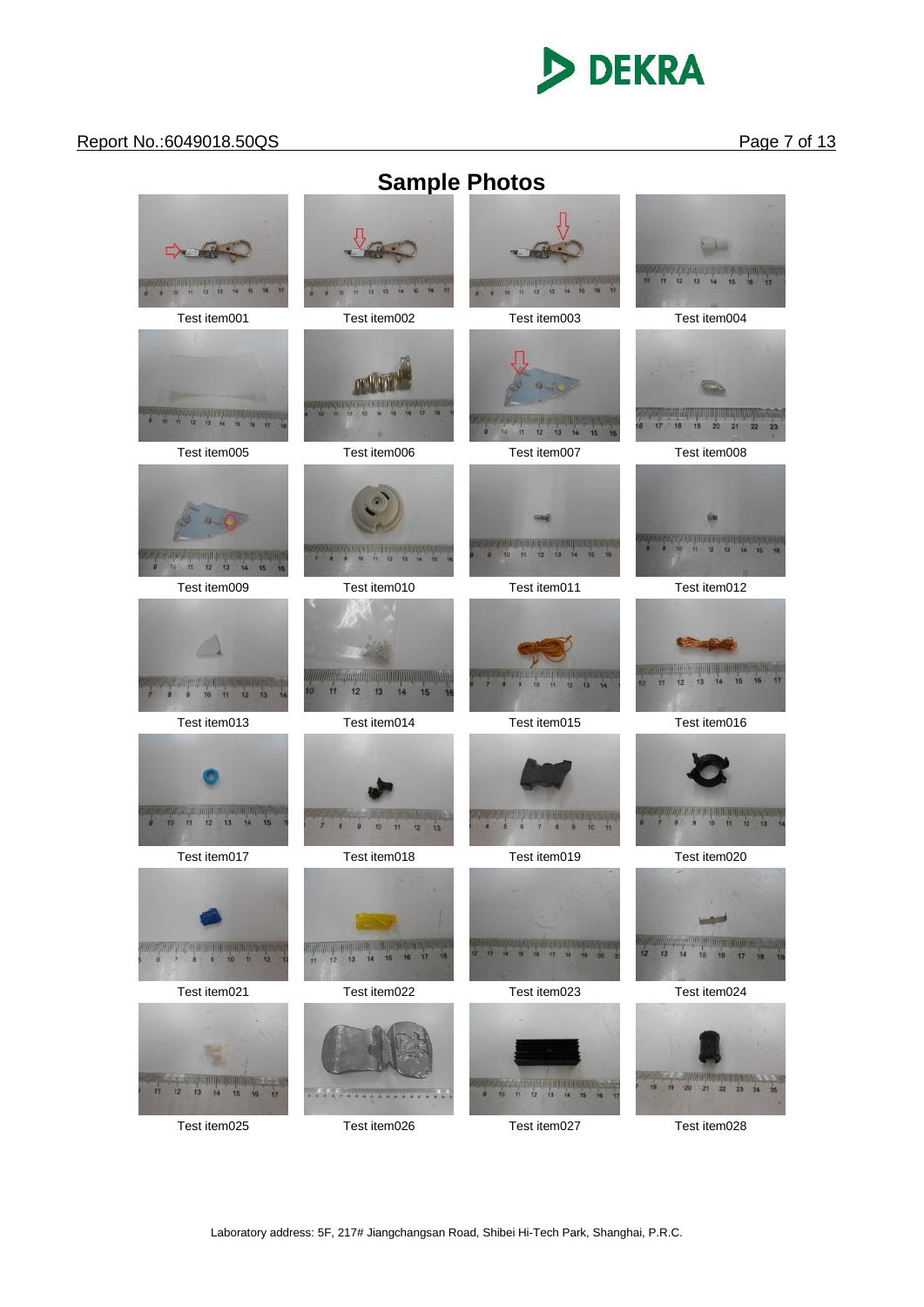# **DEKRA**

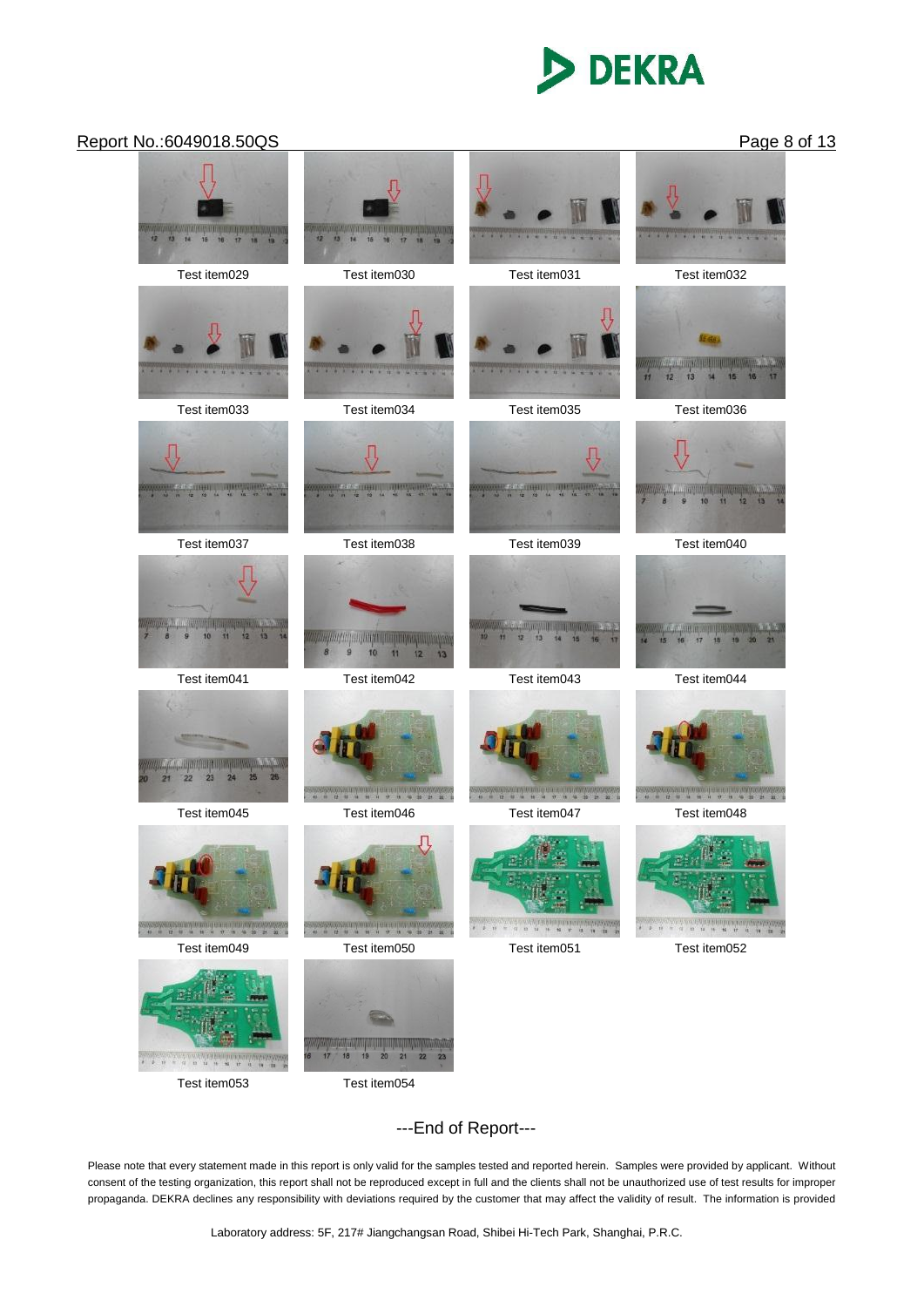# **DEKRA**



Test item053 Test item054

---End of Report---

Please note that every statement made in this report is only valid for the samples tested and reported herein. Samples were provided by applicant. Without consent of the testing organization, this report shall not be reproduced except in full and the clients shall not be unauthorized use of test results for improper propaganda. DEKRA declines any responsibility with deviations required by the customer that may affect the validity of result. The information is provided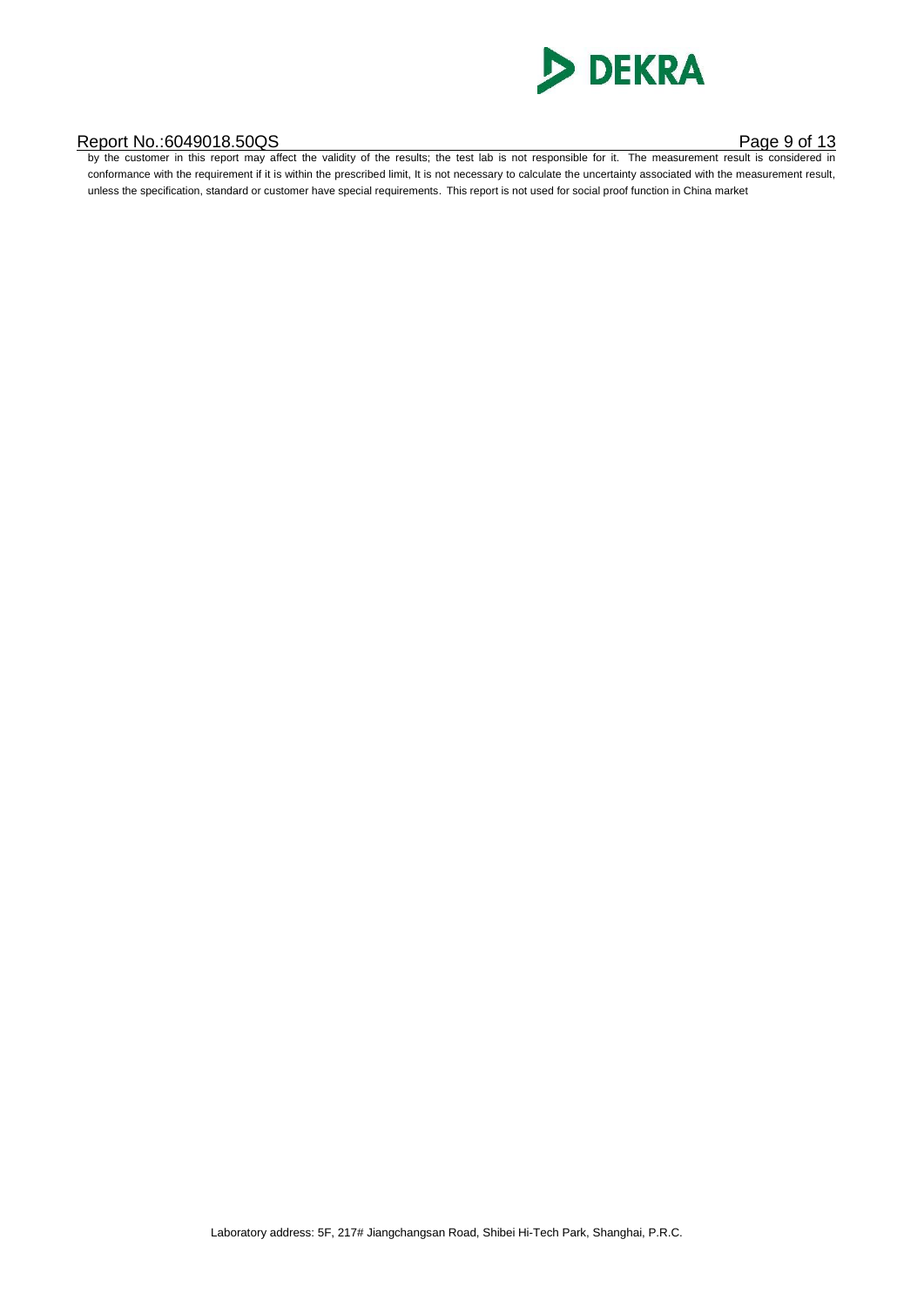

#### Report No.:6049018.50QS Page 9 of 13

by the customer in this report may affect the validity of the results; the test lab is not responsible for it. The measurement result is considered in conformance with the requirement if it is within the prescribed limit, It is not necessary to calculate the uncertainty associated with the measurement result, unless the specification, standard or customer have special requirements. This report is not used for social proof function in China market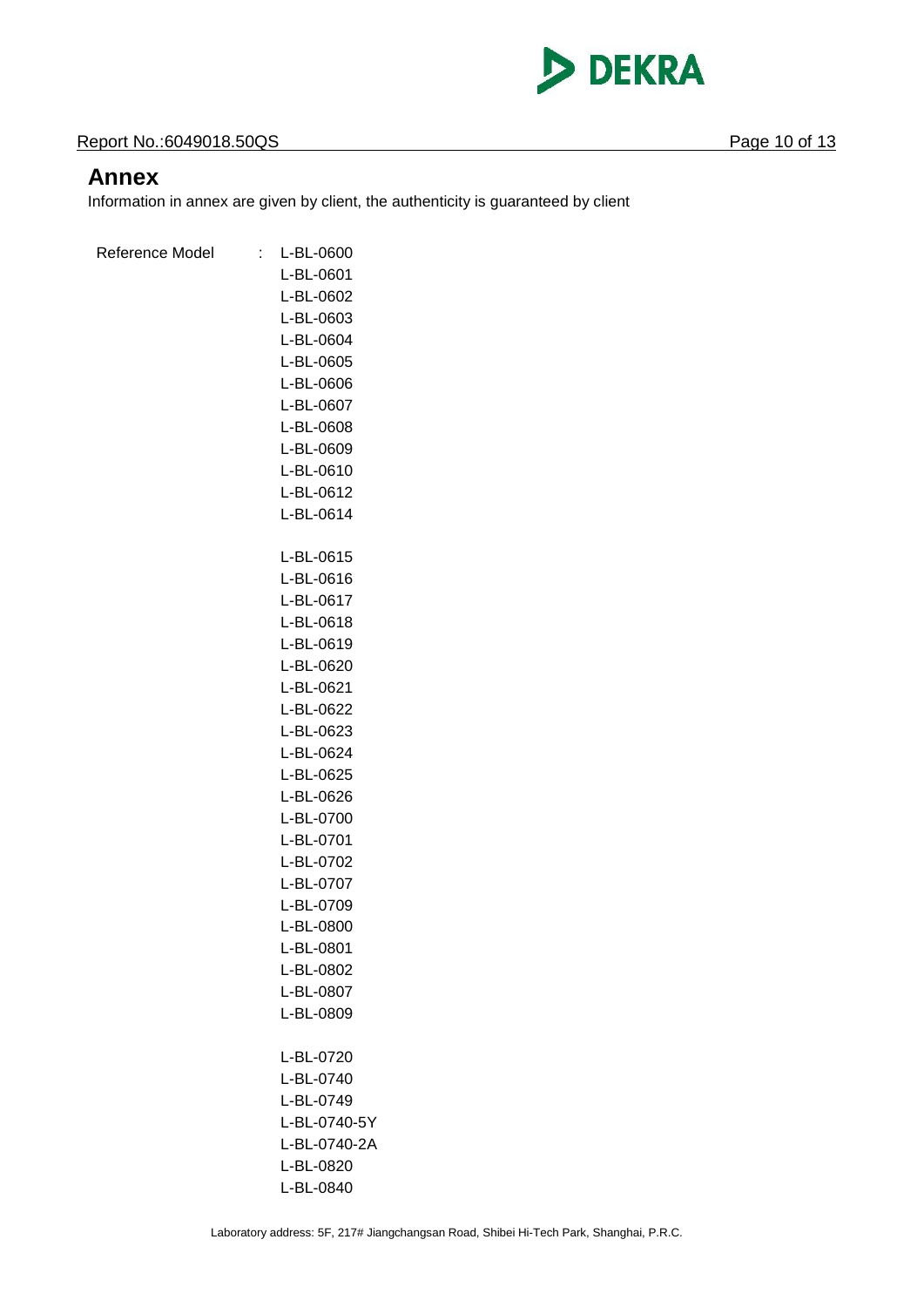

#### **Report No.:6049018.50QS** Page 10 of 13

### **Annex**

Information in annex are given by client, the authenticity is guaranteed by client

| Reference Model | t | L-BL-0600    |
|-----------------|---|--------------|
|                 |   | L-BL-0601    |
|                 |   | L-BL-0602    |
|                 |   | L-BL-0603    |
|                 |   | L-BL-0604    |
|                 |   | L-BL-0605    |
|                 |   | L-BL-0606    |
|                 |   | L-BL-0607    |
|                 |   | L-BL-0608    |
|                 |   | L-BL-0609    |
|                 |   | L-BL-0610    |
|                 |   | L-BL-0612    |
|                 |   | L-BL-0614    |
|                 |   |              |
|                 |   | L-BL-0615    |
|                 |   | L-BL-0616    |
|                 |   | L-BL-0617    |
|                 |   | L-BL-0618    |
|                 |   | L-BL-0619    |
|                 |   | L-BL-0620    |
|                 |   | L-BL-0621    |
|                 |   | L-BL-0622    |
|                 |   | L-BL-0623    |
|                 |   | L-BL-0624    |
|                 |   | L-BL-0625    |
|                 |   | L-BL-0626    |
|                 |   | L-BL-0700    |
|                 |   | L-BL-0701    |
|                 |   | L-BL-0702    |
|                 |   | L-BL-0707    |
|                 |   | L-BL-0709    |
|                 |   | L-BL-0800    |
|                 |   | L-BL-0801    |
|                 |   | L-BL-0802    |
|                 |   | L-BL-0807    |
|                 |   | L-BL-0809    |
|                 |   |              |
|                 |   | L-BL-0720    |
|                 |   | L-BL-0740    |
|                 |   | L-BL-0749    |
|                 |   | L-BL-0740-5Y |
|                 |   | L-BL-0740-2A |
|                 |   | L-BL-0820    |
|                 |   | L-BL-0840    |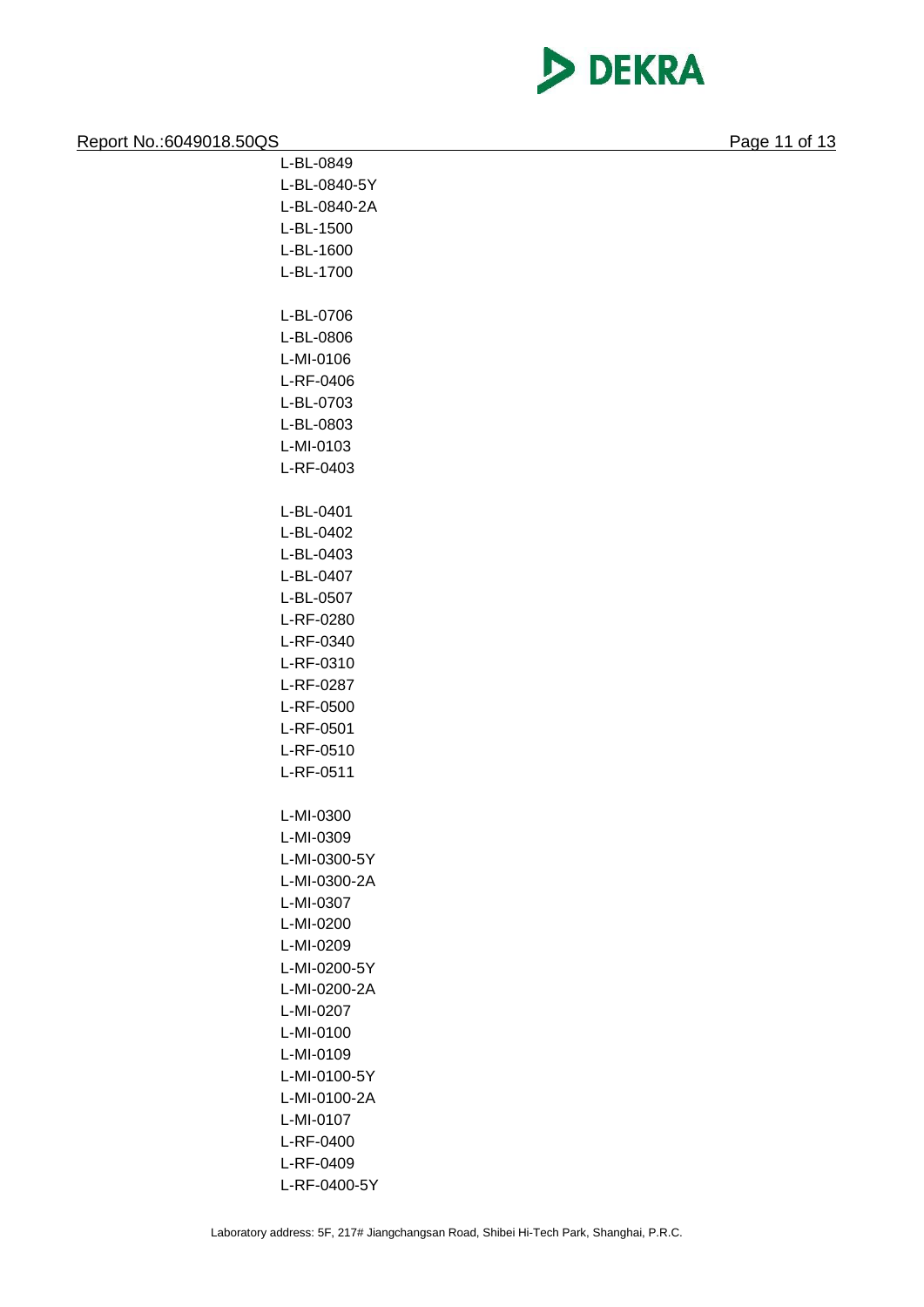

| Report No.: 6049018.50QS |              | Page 11 of 13 |
|--------------------------|--------------|---------------|
|                          | L-BL-0849    |               |
|                          | L-BL-0840-5Y |               |
|                          | L-BL-0840-2A |               |
|                          | L-BL-1500    |               |
|                          | L-BL-1600    |               |
|                          | L-BL-1700    |               |
|                          |              |               |
|                          | L-BL-0706    |               |
|                          | L-BL-0806    |               |
|                          | L-MI-0106    |               |
|                          | L-RF-0406    |               |
|                          | L-BL-0703    |               |
|                          | L-BL-0803    |               |
|                          | L-MI-0103    |               |
|                          | L-RF-0403    |               |
|                          |              |               |
|                          | L-BL-0401    |               |
|                          | L-BL-0402    |               |
|                          | L-BL-0403    |               |
|                          | L-BL-0407    |               |
|                          | L-BL-0507    |               |
|                          | L-RF-0280    |               |
|                          | L-RF-0340    |               |
|                          | L-RF-0310    |               |
|                          | L-RF-0287    |               |
|                          | L-RF-0500    |               |
|                          | L-RF-0501    |               |
|                          | L-RF-0510    |               |
|                          | L-RF-0511    |               |
|                          |              |               |
|                          | L-MI-0300    |               |
|                          | L-MI-0309    |               |
|                          | L-MI-0300-5Y |               |
|                          | L-MI-0300-2A |               |
|                          | L-MI-0307    |               |
|                          | L-MI-0200    |               |
|                          | L-MI-0209    |               |
|                          | L-MI-0200-5Y |               |
|                          | L-MI-0200-2A |               |
|                          | L-MI-0207    |               |
|                          | L-MI-0100    |               |
|                          | L-MI-0109    |               |
|                          | L-MI-0100-5Y |               |
|                          | L-MI-0100-2A |               |
|                          | L-MI-0107    |               |
|                          | L-RF-0400    |               |
|                          | L-RF-0409    |               |
|                          | L-RF-0400-5Y |               |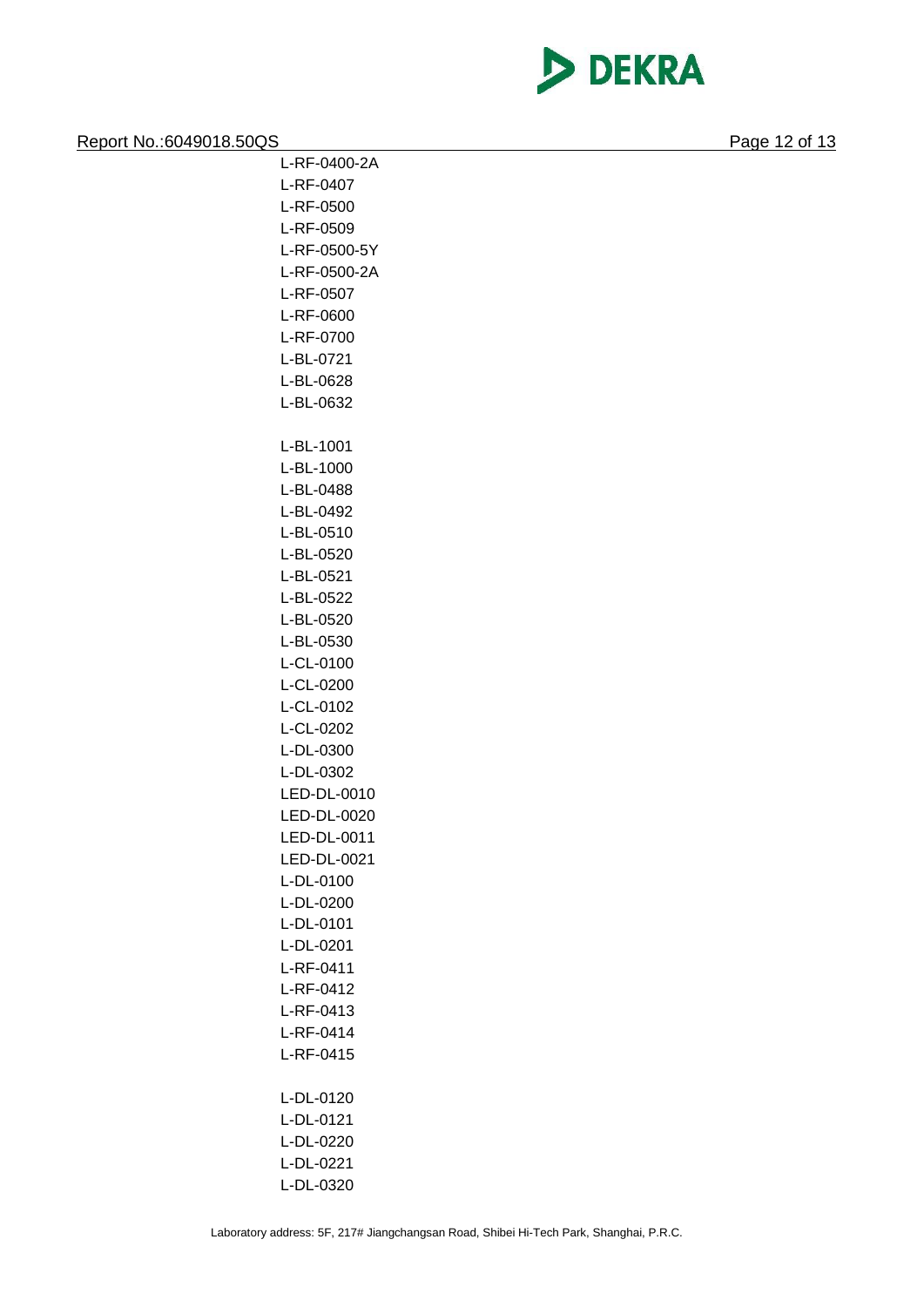

| Report No.: 6049018.50QS |              | Page 12 of 13 |
|--------------------------|--------------|---------------|
|                          | L-RF-0400-2A |               |
|                          | L-RF-0407    |               |
|                          | L-RF-0500    |               |
|                          | L-RF-0509    |               |
|                          | L-RF-0500-5Y |               |
|                          | L-RF-0500-2A |               |
|                          | L-RF-0507    |               |
|                          | L-RF-0600    |               |
|                          | L-RF-0700    |               |
|                          | L-BL-0721    |               |
|                          | L-BL-0628    |               |
|                          | L-BL-0632    |               |
|                          | L-BL-1001    |               |
|                          | L-BL-1000    |               |
|                          | L-BL-0488    |               |
|                          | L-BL-0492    |               |
|                          | L-BL-0510    |               |
|                          | L-BL-0520    |               |
|                          | L-BL-0521    |               |
|                          | L-BL-0522    |               |
|                          | L-BL-0520    |               |
|                          | L-BL-0530    |               |
|                          | L-CL-0100    |               |
|                          | L-CL-0200    |               |
|                          | L-CL-0102    |               |
|                          | L-CL-0202    |               |
|                          | L-DL-0300    |               |
|                          | L-DL-0302    |               |
|                          | LED-DL-0010  |               |
|                          | LED-DL-0020  |               |
|                          | LED-DL-0011  |               |
|                          | LED-DL-0021  |               |
|                          | L-DL-0100    |               |
|                          | L-DL-0200    |               |
|                          | L-DL-0101    |               |
|                          | L-DL-0201    |               |
|                          | L-RF-0411    |               |
|                          | L-RF-0412    |               |
|                          | L-RF-0413    |               |
|                          | L-RF-0414    |               |
|                          | L-RF-0415    |               |
|                          | L-DL-0120    |               |
|                          | L-DL-0121    |               |

L-DL-0220 L-DL-0221 L-DL-0320